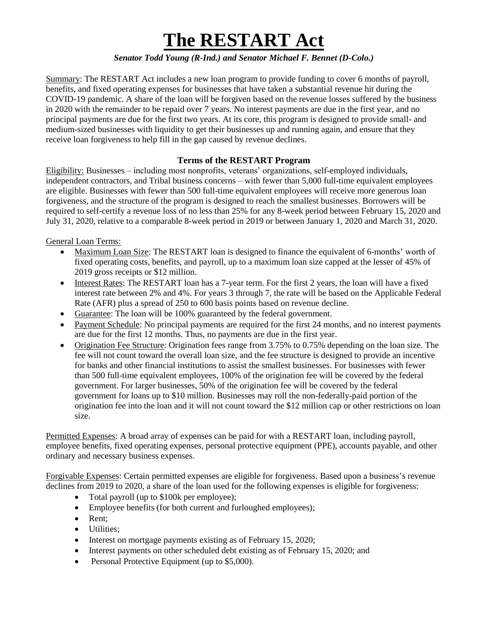## **The RESTART Act**

## *Senator Todd Young (R-Ind.) and Senator Michael F. Bennet (D-Colo.)*

Summary: The RESTART Act includes a new loan program to provide funding to cover 6 months of payroll, benefits, and fixed operating expenses for businesses that have taken a substantial revenue hit during the COVID-19 pandemic. A share of the loan will be forgiven based on the revenue losses suffered by the business in 2020 with the remainder to be repaid over 7 years. No interest payments are due in the first year, and no principal payments are due for the first two years. At its core, this program is designed to provide small- and medium-sized businesses with liquidity to get their businesses up and running again, and ensure that they receive loan forgiveness to help fill in the gap caused by revenue declines.

## **Terms of the RESTART Program**

Eligibility: Businesses – including most nonprofits, veterans' organizations, self-employed individuals, independent contractors, and Tribal business concerns – with fewer than 5,000 full-time equivalent employees are eligible. Businesses with fewer than 500 full-time equivalent employees will receive more generous loan forgiveness, and the structure of the program is designed to reach the smallest businesses. Borrowers will be required to self-certify a revenue loss of no less than 25% for any 8-week period between February 15, 2020 and July 31, 2020, relative to a comparable 8-week period in 2019 or between January 1, 2020 and March 31, 2020.

General Loan Terms:

- Maximum Loan Size: The RESTART loan is designed to finance the equivalent of 6-months' worth of fixed operating costs, benefits, and payroll, up to a maximum loan size capped at the lesser of 45% of 2019 gross receipts or \$12 million.
- Interest Rates: The RESTART loan has a 7-year term. For the first 2 years, the loan will have a fixed interest rate between 2% and 4%. For years 3 through 7, the rate will be based on the Applicable Federal Rate (AFR) plus a spread of 250 to 600 basis points based on revenue decline.
- Guarantee: The loan will be 100% guaranteed by the federal government.
- Payment Schedule: No principal payments are required for the first 24 months, and no interest payments are due for the first 12 months. Thus, no payments are due in the first year.
- Origination Fee Structure: Origination fees range from 3.75% to 0.75% depending on the loan size. The fee will not count toward the overall loan size, and the fee structure is designed to provide an incentive for banks and other financial institutions to assist the smallest businesses. For businesses with fewer than 500 full-time equivalent employees, 100% of the origination fee will be covered by the federal government. For larger businesses, 50% of the origination fee will be covered by the federal government for loans up to \$10 million. Businesses may roll the non-federally-paid portion of the origination fee into the loan and it will not count toward the \$12 million cap or other restrictions on loan size.

Permitted Expenses: A broad array of expenses can be paid for with a RESTART loan, including payroll, employee benefits, fixed operating expenses, personal protective equipment (PPE), accounts payable, and other ordinary and necessary business expenses.

Forgivable Expenses: Certain permitted expenses are eligible for forgiveness. Based upon a business's revenue declines from 2019 to 2020, a share of the loan used for the following expenses is eligible for forgiveness:

- Total payroll (up to \$100k per employee);
- Employee benefits (for both current and furloughed employees);
- Rent:
- Utilities:
- Interest on mortgage payments existing as of February 15, 2020;
- Interest payments on other scheduled debt existing as of February 15, 2020; and
- Personal Protective Equipment (up to \$5,000).